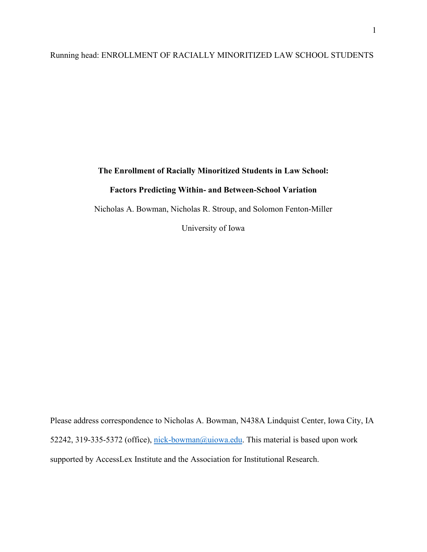## Running head: ENROLLMENT OF RACIALLY MINORITIZED LAW SCHOOL STUDENTS

# **The Enrollment of Racially Minoritized Students in Law School:**

### **Factors Predicting Within- and Between-School Variation**

Nicholas A. Bowman, Nicholas R. Stroup, and Solomon Fenton-Miller

University of Iowa

Please address correspondence to Nicholas A. Bowman, N438A Lindquist Center, Iowa City, IA 52242, 319-335-5372 (office), [nick-bowman@uiowa.edu.](mailto:nick-bowman@uiowa.edu) This material is based upon work supported by AccessLex Institute and the Association for Institutional Research.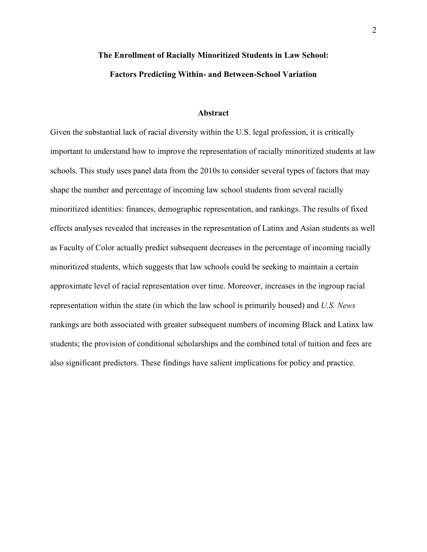# **The Enrollment of Racially Minoritized Students in Law School: Factors Predicting Within- and Between-School Variation**

#### **Abstract**

Given the substantial lack of racial diversity within the U.S. legal profession, it is critically important to understand how to improve the representation of racially minoritized students at law schools. This study uses panel data from the 2010s to consider several types of factors that may shape the number and percentage of incoming law school students from several racially minoritized identities: finances, demographic representation, and rankings. The results of fixed effects analyses revealed that increases in the representation of Latinx and Asian students as well as Faculty of Color actually predict subsequent decreases in the percentage of incoming racially minoritized students, which suggests that law schools could be seeking to maintain a certain approximate level of racial representation over time. Moreover, increases in the ingroup racial representation within the state (in which the law school is primarily housed) and *U.S. News* rankings are both associated with greater subsequent numbers of incoming Black and Latinx law students; the provision of conditional scholarships and the combined total of tuition and fees are also significant predictors. These findings have salient implications for policy and practice.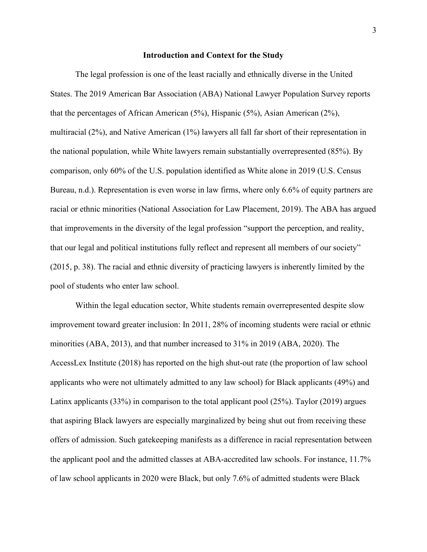#### **Introduction and Context for the Study**

The legal profession is one of the least racially and ethnically diverse in the United States. The 2019 American Bar Association (ABA) National Lawyer Population Survey reports that the percentages of African American (5%), Hispanic (5%), Asian American (2%), multiracial (2%), and Native American (1%) lawyers all fall far short of their representation in the national population, while White lawyers remain substantially overrepresented (85%). By comparison, only 60% of the U.S. population identified as White alone in 2019 (U.S. Census Bureau, n.d.). Representation is even worse in law firms, where only 6.6% of equity partners are racial or ethnic minorities (National Association for Law Placement, 2019). The ABA has argued that improvements in the diversity of the legal profession "support the perception, and reality, that our legal and political institutions fully reflect and represent all members of our society" (2015, p. 38). The racial and ethnic diversity of practicing lawyers is inherently limited by the pool of students who enter law school.

Within the legal education sector, White students remain overrepresented despite slow improvement toward greater inclusion: In 2011, 28% of incoming students were racial or ethnic minorities (ABA, 2013), and that number increased to 31% in 2019 (ABA, 2020). The AccessLex Institute (2018) has reported on the high shut-out rate (the proportion of law school applicants who were not ultimately admitted to any law school) for Black applicants (49%) and Latinx applicants (33%) in comparison to the total applicant pool (25%). Taylor (2019) argues that aspiring Black lawyers are especially marginalized by being shut out from receiving these offers of admission. Such gatekeeping manifests as a difference in racial representation between the applicant pool and the admitted classes at ABA-accredited law schools. For instance, 11.7% of law school applicants in 2020 were Black, but only 7.6% of admitted students were Black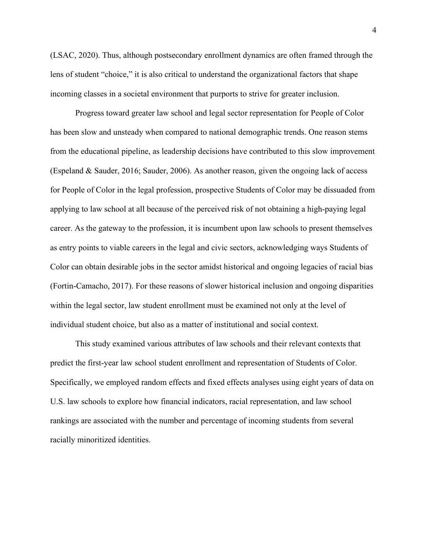(LSAC, 2020). Thus, although postsecondary enrollment dynamics are often framed through the lens of student "choice," it is also critical to understand the organizational factors that shape incoming classes in a societal environment that purports to strive for greater inclusion.

Progress toward greater law school and legal sector representation for People of Color has been slow and unsteady when compared to national demographic trends. One reason stems from the educational pipeline, as leadership decisions have contributed to this slow improvement (Espeland & Sauder, 2016; Sauder, 2006). As another reason, given the ongoing lack of access for People of Color in the legal profession, prospective Students of Color may be dissuaded from applying to law school at all because of the perceived risk of not obtaining a high-paying legal career. As the gateway to the profession, it is incumbent upon law schools to present themselves as entry points to viable careers in the legal and civic sectors, acknowledging ways Students of Color can obtain desirable jobs in the sector amidst historical and ongoing legacies of racial bias (Fortin-Camacho, 2017). For these reasons of slower historical inclusion and ongoing disparities within the legal sector, law student enrollment must be examined not only at the level of individual student choice, but also as a matter of institutional and social context.

This study examined various attributes of law schools and their relevant contexts that predict the first-year law school student enrollment and representation of Students of Color. Specifically, we employed random effects and fixed effects analyses using eight years of data on U.S. law schools to explore how financial indicators, racial representation, and law school rankings are associated with the number and percentage of incoming students from several racially minoritized identities.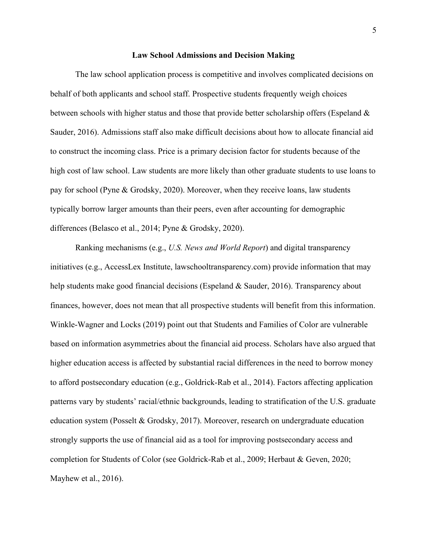#### **Law School Admissions and Decision Making**

The law school application process is competitive and involves complicated decisions on behalf of both applicants and school staff. Prospective students frequently weigh choices between schools with higher status and those that provide better scholarship offers (Espeland & Sauder, 2016). Admissions staff also make difficult decisions about how to allocate financial aid to construct the incoming class. Price is a primary decision factor for students because of the high cost of law school. Law students are more likely than other graduate students to use loans to pay for school (Pyne & Grodsky, 2020). Moreover, when they receive loans, law students typically borrow larger amounts than their peers, even after accounting for demographic differences (Belasco et al., 2014; Pyne & Grodsky, 2020).

Ranking mechanisms (e.g., *U.S. News and World Report*) and digital transparency initiatives (e.g., AccessLex Institute, lawschooltransparency.com) provide information that may help students make good financial decisions (Espeland & Sauder, 2016). Transparency about finances, however, does not mean that all prospective students will benefit from this information. Winkle-Wagner and Locks (2019) point out that Students and Families of Color are vulnerable based on information asymmetries about the financial aid process. Scholars have also argued that higher education access is affected by substantial racial differences in the need to borrow money to afford postsecondary education (e.g., Goldrick-Rab et al., 2014). Factors affecting application patterns vary by students' racial/ethnic backgrounds, leading to stratification of the U.S. graduate education system (Posselt & Grodsky, 2017). Moreover, research on undergraduate education strongly supports the use of financial aid as a tool for improving postsecondary access and completion for Students of Color (see Goldrick-Rab et al., 2009; Herbaut & Geven, 2020; Mayhew et al., 2016).

5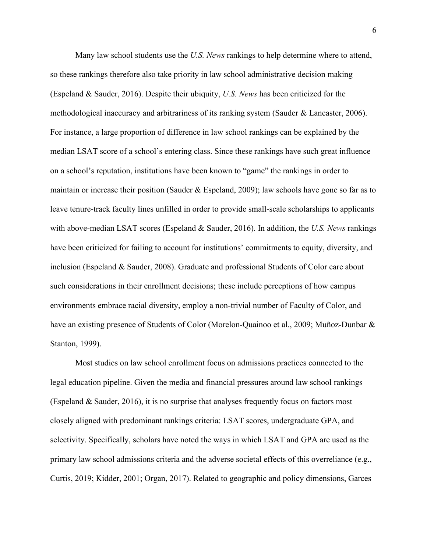Many law school students use the *U.S. News* rankings to help determine where to attend, so these rankings therefore also take priority in law school administrative decision making (Espeland & Sauder, 2016). Despite their ubiquity, *U.S. News* has been criticized for the methodological inaccuracy and arbitrariness of its ranking system (Sauder & Lancaster, 2006). For instance, a large proportion of difference in law school rankings can be explained by the median LSAT score of a school's entering class. Since these rankings have such great influence on a school's reputation, institutions have been known to "game" the rankings in order to maintain or increase their position (Sauder & Espeland, 2009); law schools have gone so far as to leave tenure-track faculty lines unfilled in order to provide small-scale scholarships to applicants with above-median LSAT scores (Espeland & Sauder, 2016). In addition, the *U.S. News* rankings have been criticized for failing to account for institutions' commitments to equity, diversity, and inclusion (Espeland & Sauder, 2008). Graduate and professional Students of Color care about such considerations in their enrollment decisions; these include perceptions of how campus environments embrace racial diversity, employ a non-trivial number of Faculty of Color, and have an existing presence of Students of Color (Morelon-Quainoo et al., 2009; Muñoz-Dunbar & Stanton, 1999).

Most studies on law school enrollment focus on admissions practices connected to the legal education pipeline. Given the media and financial pressures around law school rankings (Espeland & Sauder, 2016), it is no surprise that analyses frequently focus on factors most closely aligned with predominant rankings criteria: LSAT scores, undergraduate GPA, and selectivity. Specifically, scholars have noted the ways in which LSAT and GPA are used as the primary law school admissions criteria and the adverse societal effects of this overreliance (e.g., Curtis, 2019; Kidder, 2001; Organ, 2017). Related to geographic and policy dimensions, Garces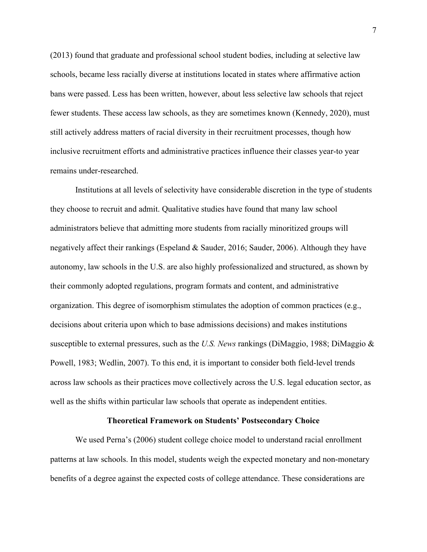(2013) found that graduate and professional school student bodies, including at selective law schools, became less racially diverse at institutions located in states where affirmative action bans were passed. Less has been written, however, about less selective law schools that reject fewer students. These access law schools, as they are sometimes known (Kennedy, 2020), must still actively address matters of racial diversity in their recruitment processes, though how inclusive recruitment efforts and administrative practices influence their classes year-to year remains under-researched.

Institutions at all levels of selectivity have considerable discretion in the type of students they choose to recruit and admit. Qualitative studies have found that many law school administrators believe that admitting more students from racially minoritized groups will negatively affect their rankings (Espeland & Sauder, 2016; Sauder, 2006). Although they have autonomy, law schools in the U.S. are also highly professionalized and structured, as shown by their commonly adopted regulations, program formats and content, and administrative organization. This degree of isomorphism stimulates the adoption of common practices (e.g., decisions about criteria upon which to base admissions decisions) and makes institutions susceptible to external pressures, such as the *U.S. News* rankings (DiMaggio, 1988; DiMaggio & Powell, 1983; Wedlin, 2007). To this end, it is important to consider both field-level trends across law schools as their practices move collectively across the U.S. legal education sector, as well as the shifts within particular law schools that operate as independent entities.

#### **Theoretical Framework on Students' Postsecondary Choice**

We used Perna's (2006) student college choice model to understand racial enrollment patterns at law schools. In this model, students weigh the expected monetary and non-monetary benefits of a degree against the expected costs of college attendance. These considerations are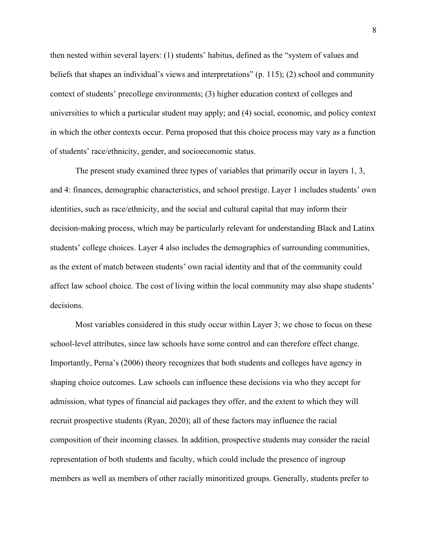then nested within several layers: (1) students' habitus, defined as the "system of values and beliefs that shapes an individual's views and interpretations" (p. 115); (2) school and community context of students' precollege environments; (3) higher education context of colleges and universities to which a particular student may apply; and (4) social, economic, and policy context in which the other contexts occur. Perna proposed that this choice process may vary as a function of students' race/ethnicity, gender, and socioeconomic status.

The present study examined three types of variables that primarily occur in layers 1, 3, and 4: finances, demographic characteristics, and school prestige. Layer 1 includes students' own identities, such as race/ethnicity, and the social and cultural capital that may inform their decision-making process, which may be particularly relevant for understanding Black and Latinx students' college choices. Layer 4 also includes the demographics of surrounding communities, as the extent of match between students' own racial identity and that of the community could affect law school choice. The cost of living within the local community may also shape students' decisions.

Most variables considered in this study occur within Layer 3; we chose to focus on these school-level attributes, since law schools have some control and can therefore effect change. Importantly, Perna's (2006) theory recognizes that both students and colleges have agency in shaping choice outcomes. Law schools can influence these decisions via who they accept for admission, what types of financial aid packages they offer, and the extent to which they will recruit prospective students (Ryan, 2020); all of these factors may influence the racial composition of their incoming classes. In addition, prospective students may consider the racial representation of both students and faculty, which could include the presence of ingroup members as well as members of other racially minoritized groups. Generally, students prefer to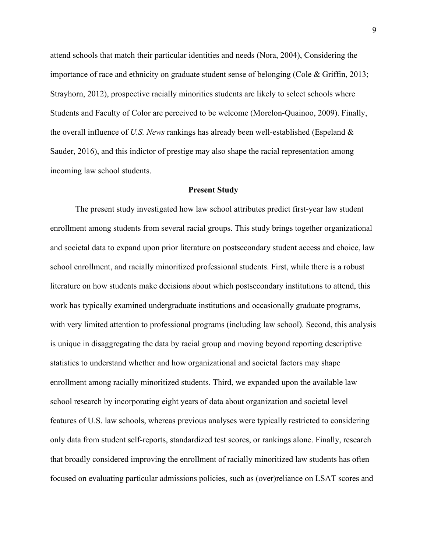attend schools that match their particular identities and needs (Nora, 2004), Considering the importance of race and ethnicity on graduate student sense of belonging (Cole & Griffin, 2013; Strayhorn, 2012), prospective racially minorities students are likely to select schools where Students and Faculty of Color are perceived to be welcome (Morelon-Quainoo, 2009). Finally, the overall influence of *U.S. News* rankings has already been well-established (Espeland & Sauder, 2016), and this indictor of prestige may also shape the racial representation among incoming law school students.

#### **Present Study**

The present study investigated how law school attributes predict first-year law student enrollment among students from several racial groups. This study brings together organizational and societal data to expand upon prior literature on postsecondary student access and choice, law school enrollment, and racially minoritized professional students. First, while there is a robust literature on how students make decisions about which postsecondary institutions to attend, this work has typically examined undergraduate institutions and occasionally graduate programs, with very limited attention to professional programs (including law school). Second, this analysis is unique in disaggregating the data by racial group and moving beyond reporting descriptive statistics to understand whether and how organizational and societal factors may shape enrollment among racially minoritized students. Third, we expanded upon the available law school research by incorporating eight years of data about organization and societal level features of U.S. law schools, whereas previous analyses were typically restricted to considering only data from student self-reports, standardized test scores, or rankings alone. Finally, research that broadly considered improving the enrollment of racially minoritized law students has often focused on evaluating particular admissions policies, such as (over)reliance on LSAT scores and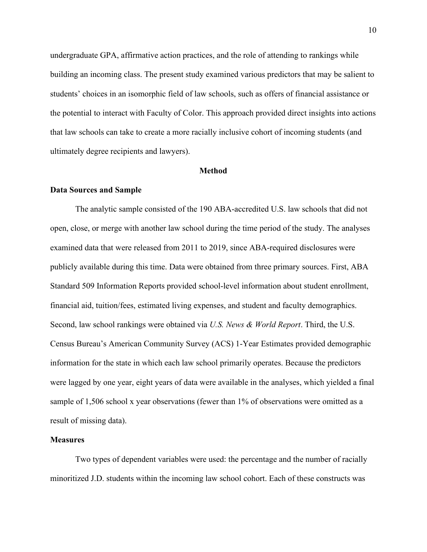undergraduate GPA, affirmative action practices, and the role of attending to rankings while building an incoming class. The present study examined various predictors that may be salient to students' choices in an isomorphic field of law schools, such as offers of financial assistance or the potential to interact with Faculty of Color. This approach provided direct insights into actions that law schools can take to create a more racially inclusive cohort of incoming students (and ultimately degree recipients and lawyers).

#### **Method**

#### **Data Sources and Sample**

The analytic sample consisted of the 190 ABA-accredited U.S. law schools that did not open, close, or merge with another law school during the time period of the study. The analyses examined data that were released from 2011 to 2019, since ABA-required disclosures were publicly available during this time. Data were obtained from three primary sources. First, ABA Standard 509 Information Reports provided school-level information about student enrollment, financial aid, tuition/fees, estimated living expenses, and student and faculty demographics. Second, law school rankings were obtained via *U.S. News & World Report*. Third, the U.S. Census Bureau's American Community Survey (ACS) 1-Year Estimates provided demographic information for the state in which each law school primarily operates. Because the predictors were lagged by one year, eight years of data were available in the analyses, which yielded a final sample of 1,506 school x year observations (fewer than 1% of observations were omitted as a result of missing data).

#### **Measures**

Two types of dependent variables were used: the percentage and the number of racially minoritized J.D. students within the incoming law school cohort. Each of these constructs was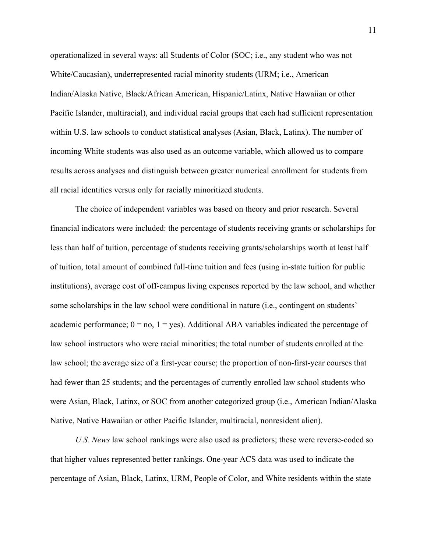operationalized in several ways: all Students of Color (SOC; i.e., any student who was not White/Caucasian), underrepresented racial minority students (URM; i.e., American Indian/Alaska Native, Black/African American, Hispanic/Latinx, Native Hawaiian or other Pacific Islander, multiracial), and individual racial groups that each had sufficient representation within U.S. law schools to conduct statistical analyses (Asian, Black, Latinx). The number of incoming White students was also used as an outcome variable, which allowed us to compare results across analyses and distinguish between greater numerical enrollment for students from all racial identities versus only for racially minoritized students.

The choice of independent variables was based on theory and prior research. Several financial indicators were included: the percentage of students receiving grants or scholarships for less than half of tuition, percentage of students receiving grants/scholarships worth at least half of tuition, total amount of combined full-time tuition and fees (using in-state tuition for public institutions), average cost of off-campus living expenses reported by the law school, and whether some scholarships in the law school were conditional in nature (i.e., contingent on students' academic performance;  $0 = no$ ,  $1 = yes$ ). Additional ABA variables indicated the percentage of law school instructors who were racial minorities; the total number of students enrolled at the law school; the average size of a first-year course; the proportion of non-first-year courses that had fewer than 25 students; and the percentages of currently enrolled law school students who were Asian, Black, Latinx, or SOC from another categorized group (i.e., American Indian/Alaska Native, Native Hawaiian or other Pacific Islander, multiracial, nonresident alien).

*U.S. News* law school rankings were also used as predictors; these were reverse-coded so that higher values represented better rankings. One-year ACS data was used to indicate the percentage of Asian, Black, Latinx, URM, People of Color, and White residents within the state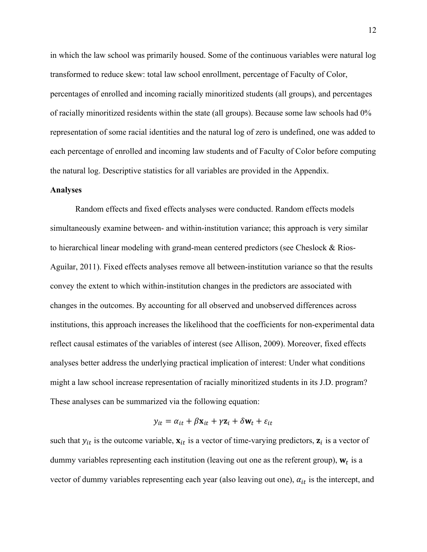in which the law school was primarily housed. Some of the continuous variables were natural log transformed to reduce skew: total law school enrollment, percentage of Faculty of Color, percentages of enrolled and incoming racially minoritized students (all groups), and percentages of racially minoritized residents within the state (all groups). Because some law schools had 0% representation of some racial identities and the natural log of zero is undefined, one was added to each percentage of enrolled and incoming law students and of Faculty of Color before computing the natural log. Descriptive statistics for all variables are provided in the Appendix.

#### **Analyses**

Random effects and fixed effects analyses were conducted. Random effects models simultaneously examine between- and within-institution variance; this approach is very similar to hierarchical linear modeling with grand-mean centered predictors (see Cheslock & Rios-Aguilar, 2011). Fixed effects analyses remove all between-institution variance so that the results convey the extent to which within-institution changes in the predictors are associated with changes in the outcomes. By accounting for all observed and unobserved differences across institutions, this approach increases the likelihood that the coefficients for non-experimental data reflect causal estimates of the variables of interest (see Allison, 2009). Moreover, fixed effects analyses better address the underlying practical implication of interest: Under what conditions might a law school increase representation of racially minoritized students in its J.D. program? These analyses can be summarized via the following equation:

$$
y_{it} = \alpha_{it} + \beta \mathbf{x}_{it} + \gamma \mathbf{z}_i + \delta \mathbf{w}_t + \varepsilon_{it}
$$

such that  $y_{it}$  is the outcome variable,  $x_{it}$  is a vector of time-varying predictors,  $z_i$  is a vector of dummy variables representing each institution (leaving out one as the referent group),  $w_t$  is a vector of dummy variables representing each year (also leaving out one),  $\alpha_{it}$  is the intercept, and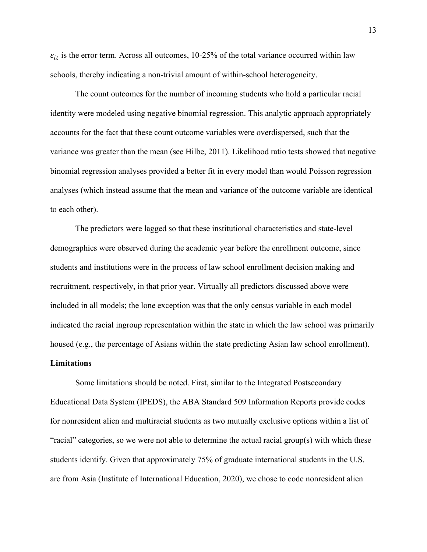$\varepsilon_{it}$  is the error term. Across all outcomes, 10-25% of the total variance occurred within law schools, thereby indicating a non-trivial amount of within-school heterogeneity.

The count outcomes for the number of incoming students who hold a particular racial identity were modeled using negative binomial regression. This analytic approach appropriately accounts for the fact that these count outcome variables were overdispersed, such that the variance was greater than the mean (see Hilbe, 2011). Likelihood ratio tests showed that negative binomial regression analyses provided a better fit in every model than would Poisson regression analyses (which instead assume that the mean and variance of the outcome variable are identical to each other).

The predictors were lagged so that these institutional characteristics and state-level demographics were observed during the academic year before the enrollment outcome, since students and institutions were in the process of law school enrollment decision making and recruitment, respectively, in that prior year. Virtually all predictors discussed above were included in all models; the lone exception was that the only census variable in each model indicated the racial ingroup representation within the state in which the law school was primarily housed (e.g., the percentage of Asians within the state predicting Asian law school enrollment).

### **Limitations**

Some limitations should be noted. First, similar to the Integrated Postsecondary Educational Data System (IPEDS), the ABA Standard 509 Information Reports provide codes for nonresident alien and multiracial students as two mutually exclusive options within a list of "racial" categories, so we were not able to determine the actual racial group(s) with which these students identify. Given that approximately 75% of graduate international students in the U.S. are from Asia (Institute of International Education, 2020), we chose to code nonresident alien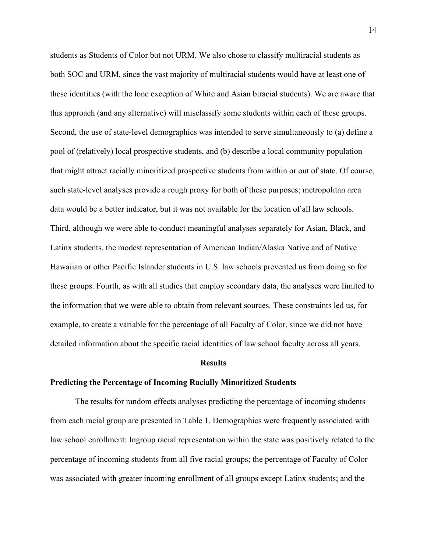students as Students of Color but not URM. We also chose to classify multiracial students as both SOC and URM, since the vast majority of multiracial students would have at least one of these identities (with the lone exception of White and Asian biracial students). We are aware that this approach (and any alternative) will misclassify some students within each of these groups. Second, the use of state-level demographics was intended to serve simultaneously to (a) define a pool of (relatively) local prospective students, and (b) describe a local community population that might attract racially minoritized prospective students from within or out of state. Of course, such state-level analyses provide a rough proxy for both of these purposes; metropolitan area data would be a better indicator, but it was not available for the location of all law schools. Third, although we were able to conduct meaningful analyses separately for Asian, Black, and Latinx students, the modest representation of American Indian/Alaska Native and of Native Hawaiian or other Pacific Islander students in U.S. law schools prevented us from doing so for these groups. Fourth, as with all studies that employ secondary data, the analyses were limited to the information that we were able to obtain from relevant sources. These constraints led us, for example, to create a variable for the percentage of all Faculty of Color, since we did not have detailed information about the specific racial identities of law school faculty across all years.

#### **Results**

#### **Predicting the Percentage of Incoming Racially Minoritized Students**

The results for random effects analyses predicting the percentage of incoming students from each racial group are presented in Table 1. Demographics were frequently associated with law school enrollment: Ingroup racial representation within the state was positively related to the percentage of incoming students from all five racial groups; the percentage of Faculty of Color was associated with greater incoming enrollment of all groups except Latinx students; and the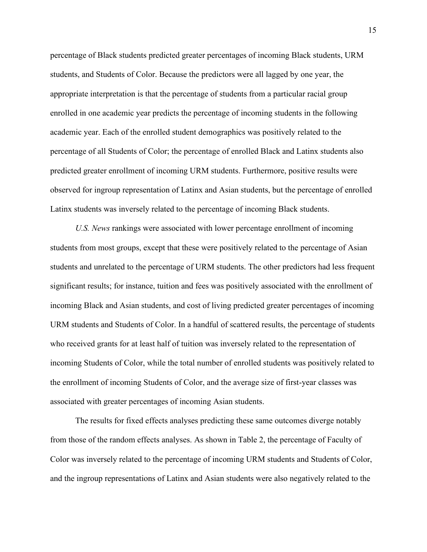percentage of Black students predicted greater percentages of incoming Black students, URM students, and Students of Color. Because the predictors were all lagged by one year, the appropriate interpretation is that the percentage of students from a particular racial group enrolled in one academic year predicts the percentage of incoming students in the following academic year. Each of the enrolled student demographics was positively related to the percentage of all Students of Color; the percentage of enrolled Black and Latinx students also predicted greater enrollment of incoming URM students. Furthermore, positive results were observed for ingroup representation of Latinx and Asian students, but the percentage of enrolled Latinx students was inversely related to the percentage of incoming Black students.

*U.S. News* rankings were associated with lower percentage enrollment of incoming students from most groups, except that these were positively related to the percentage of Asian students and unrelated to the percentage of URM students. The other predictors had less frequent significant results; for instance, tuition and fees was positively associated with the enrollment of incoming Black and Asian students, and cost of living predicted greater percentages of incoming URM students and Students of Color. In a handful of scattered results, the percentage of students who received grants for at least half of tuition was inversely related to the representation of incoming Students of Color, while the total number of enrolled students was positively related to the enrollment of incoming Students of Color, and the average size of first-year classes was associated with greater percentages of incoming Asian students.

The results for fixed effects analyses predicting these same outcomes diverge notably from those of the random effects analyses. As shown in Table 2, the percentage of Faculty of Color was inversely related to the percentage of incoming URM students and Students of Color, and the ingroup representations of Latinx and Asian students were also negatively related to the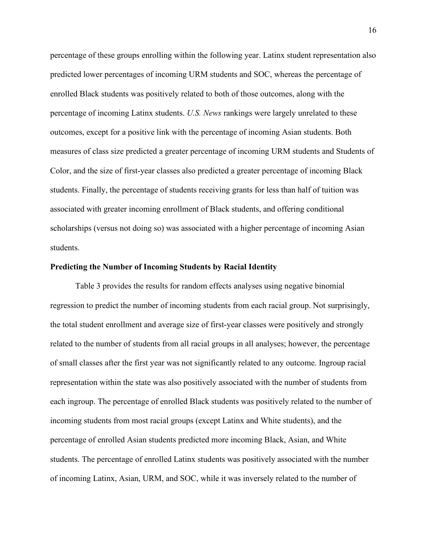percentage of these groups enrolling within the following year. Latinx student representation also predicted lower percentages of incoming URM students and SOC, whereas the percentage of enrolled Black students was positively related to both of those outcomes, along with the percentage of incoming Latinx students. *U.S. News* rankings were largely unrelated to these outcomes, except for a positive link with the percentage of incoming Asian students. Both measures of class size predicted a greater percentage of incoming URM students and Students of Color, and the size of first-year classes also predicted a greater percentage of incoming Black students. Finally, the percentage of students receiving grants for less than half of tuition was associated with greater incoming enrollment of Black students, and offering conditional scholarships (versus not doing so) was associated with a higher percentage of incoming Asian students.

#### **Predicting the Number of Incoming Students by Racial Identity**

Table 3 provides the results for random effects analyses using negative binomial regression to predict the number of incoming students from each racial group. Not surprisingly, the total student enrollment and average size of first-year classes were positively and strongly related to the number of students from all racial groups in all analyses; however, the percentage of small classes after the first year was not significantly related to any outcome. Ingroup racial representation within the state was also positively associated with the number of students from each ingroup. The percentage of enrolled Black students was positively related to the number of incoming students from most racial groups (except Latinx and White students), and the percentage of enrolled Asian students predicted more incoming Black, Asian, and White students. The percentage of enrolled Latinx students was positively associated with the number of incoming Latinx, Asian, URM, and SOC, while it was inversely related to the number of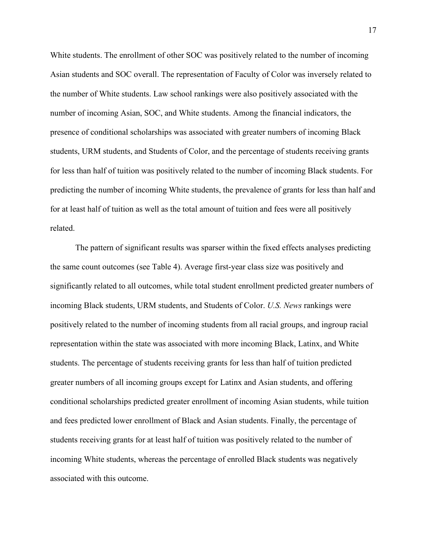White students. The enrollment of other SOC was positively related to the number of incoming Asian students and SOC overall. The representation of Faculty of Color was inversely related to the number of White students. Law school rankings were also positively associated with the number of incoming Asian, SOC, and White students. Among the financial indicators, the presence of conditional scholarships was associated with greater numbers of incoming Black students, URM students, and Students of Color, and the percentage of students receiving grants for less than half of tuition was positively related to the number of incoming Black students. For predicting the number of incoming White students, the prevalence of grants for less than half and for at least half of tuition as well as the total amount of tuition and fees were all positively related.

The pattern of significant results was sparser within the fixed effects analyses predicting the same count outcomes (see Table 4). Average first-year class size was positively and significantly related to all outcomes, while total student enrollment predicted greater numbers of incoming Black students, URM students, and Students of Color. *U.S. News* rankings were positively related to the number of incoming students from all racial groups, and ingroup racial representation within the state was associated with more incoming Black, Latinx, and White students. The percentage of students receiving grants for less than half of tuition predicted greater numbers of all incoming groups except for Latinx and Asian students, and offering conditional scholarships predicted greater enrollment of incoming Asian students, while tuition and fees predicted lower enrollment of Black and Asian students. Finally, the percentage of students receiving grants for at least half of tuition was positively related to the number of incoming White students, whereas the percentage of enrolled Black students was negatively associated with this outcome.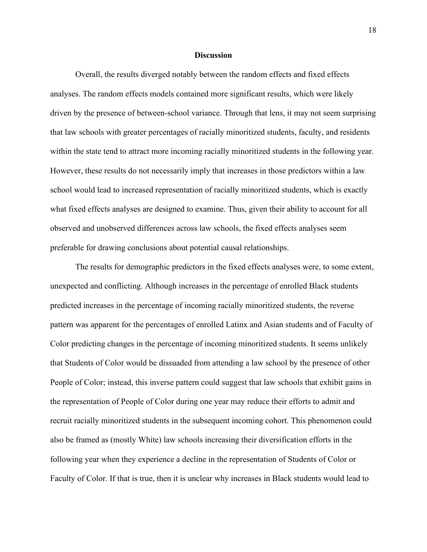#### **Discussion**

Overall, the results diverged notably between the random effects and fixed effects analyses. The random effects models contained more significant results, which were likely driven by the presence of between-school variance. Through that lens, it may not seem surprising that law schools with greater percentages of racially minoritized students, faculty, and residents within the state tend to attract more incoming racially minoritized students in the following year. However, these results do not necessarily imply that increases in those predictors within a law school would lead to increased representation of racially minoritized students, which is exactly what fixed effects analyses are designed to examine. Thus, given their ability to account for all observed and unobserved differences across law schools, the fixed effects analyses seem preferable for drawing conclusions about potential causal relationships.

The results for demographic predictors in the fixed effects analyses were, to some extent, unexpected and conflicting. Although increases in the percentage of enrolled Black students predicted increases in the percentage of incoming racially minoritized students, the reverse pattern was apparent for the percentages of enrolled Latinx and Asian students and of Faculty of Color predicting changes in the percentage of incoming minoritized students. It seems unlikely that Students of Color would be dissuaded from attending a law school by the presence of other People of Color; instead, this inverse pattern could suggest that law schools that exhibit gains in the representation of People of Color during one year may reduce their efforts to admit and recruit racially minoritized students in the subsequent incoming cohort. This phenomenon could also be framed as (mostly White) law schools increasing their diversification efforts in the following year when they experience a decline in the representation of Students of Color or Faculty of Color. If that is true, then it is unclear why increases in Black students would lead to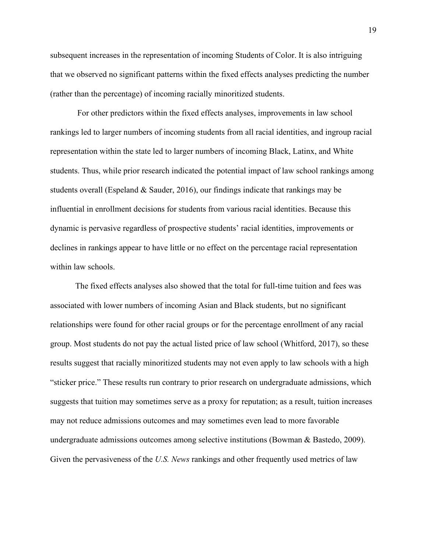subsequent increases in the representation of incoming Students of Color. It is also intriguing that we observed no significant patterns within the fixed effects analyses predicting the number (rather than the percentage) of incoming racially minoritized students.

For other predictors within the fixed effects analyses, improvements in law school rankings led to larger numbers of incoming students from all racial identities, and ingroup racial representation within the state led to larger numbers of incoming Black, Latinx, and White students. Thus, while prior research indicated the potential impact of law school rankings among students overall (Espeland  $&$  Sauder, 2016), our findings indicate that rankings may be influential in enrollment decisions for students from various racial identities. Because this dynamic is pervasive regardless of prospective students' racial identities, improvements or declines in rankings appear to have little or no effect on the percentage racial representation within law schools.

The fixed effects analyses also showed that the total for full-time tuition and fees was associated with lower numbers of incoming Asian and Black students, but no significant relationships were found for other racial groups or for the percentage enrollment of any racial group. Most students do not pay the actual listed price of law school (Whitford, 2017), so these results suggest that racially minoritized students may not even apply to law schools with a high "sticker price." These results run contrary to prior research on undergraduate admissions, which suggests that tuition may sometimes serve as a proxy for reputation; as a result, tuition increases may not reduce admissions outcomes and may sometimes even lead to more favorable undergraduate admissions outcomes among selective institutions (Bowman  $\&$  Bastedo, 2009). Given the pervasiveness of the *U.S. News* rankings and other frequently used metrics of law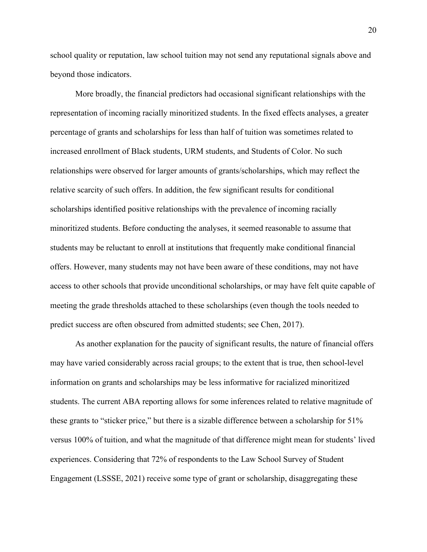school quality or reputation, law school tuition may not send any reputational signals above and beyond those indicators.

More broadly, the financial predictors had occasional significant relationships with the representation of incoming racially minoritized students. In the fixed effects analyses, a greater percentage of grants and scholarships for less than half of tuition was sometimes related to increased enrollment of Black students, URM students, and Students of Color. No such relationships were observed for larger amounts of grants/scholarships, which may reflect the relative scarcity of such offers. In addition, the few significant results for conditional scholarships identified positive relationships with the prevalence of incoming racially minoritized students. Before conducting the analyses, it seemed reasonable to assume that students may be reluctant to enroll at institutions that frequently make conditional financial offers. However, many students may not have been aware of these conditions, may not have access to other schools that provide unconditional scholarships, or may have felt quite capable of meeting the grade thresholds attached to these scholarships (even though the tools needed to predict success are often obscured from admitted students; see Chen, 2017).

As another explanation for the paucity of significant results, the nature of financial offers may have varied considerably across racial groups; to the extent that is true, then school-level information on grants and scholarships may be less informative for racialized minoritized students. The current ABA reporting allows for some inferences related to relative magnitude of these grants to "sticker price," but there is a sizable difference between a scholarship for 51% versus 100% of tuition, and what the magnitude of that difference might mean for students' lived experiences. Considering that 72% of respondents to the Law School Survey of Student Engagement (LSSSE, 2021) receive some type of grant or scholarship, disaggregating these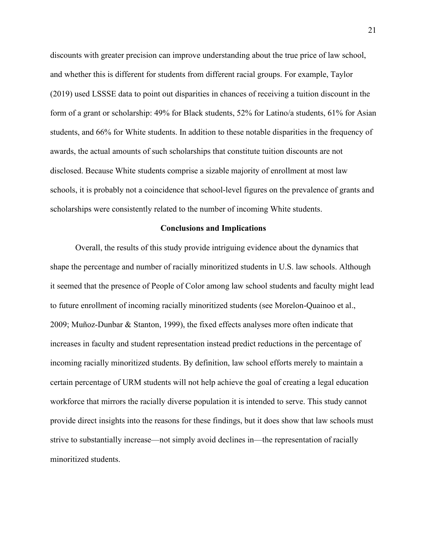discounts with greater precision can improve understanding about the true price of law school, and whether this is different for students from different racial groups. For example, Taylor (2019) used LSSSE data to point out disparities in chances of receiving a tuition discount in the form of a grant or scholarship: 49% for Black students, 52% for Latino/a students, 61% for Asian students, and 66% for White students. In addition to these notable disparities in the frequency of awards, the actual amounts of such scholarships that constitute tuition discounts are not disclosed. Because White students comprise a sizable majority of enrollment at most law schools, it is probably not a coincidence that school-level figures on the prevalence of grants and scholarships were consistently related to the number of incoming White students.

#### **Conclusions and Implications**

Overall, the results of this study provide intriguing evidence about the dynamics that shape the percentage and number of racially minoritized students in U.S. law schools. Although it seemed that the presence of People of Color among law school students and faculty might lead to future enrollment of incoming racially minoritized students (see Morelon-Quainoo et al., 2009; Muñoz-Dunbar & Stanton, 1999), the fixed effects analyses more often indicate that increases in faculty and student representation instead predict reductions in the percentage of incoming racially minoritized students. By definition, law school efforts merely to maintain a certain percentage of URM students will not help achieve the goal of creating a legal education workforce that mirrors the racially diverse population it is intended to serve. This study cannot provide direct insights into the reasons for these findings, but it does show that law schools must strive to substantially increase—not simply avoid declines in—the representation of racially minoritized students.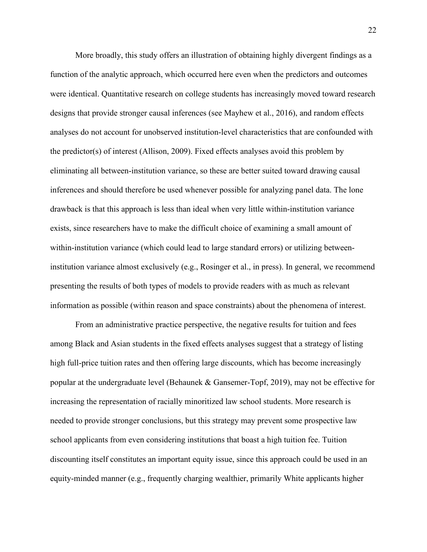More broadly, this study offers an illustration of obtaining highly divergent findings as a function of the analytic approach, which occurred here even when the predictors and outcomes were identical. Quantitative research on college students has increasingly moved toward research designs that provide stronger causal inferences (see Mayhew et al., 2016), and random effects analyses do not account for unobserved institution-level characteristics that are confounded with the predictor(s) of interest (Allison, 2009). Fixed effects analyses avoid this problem by eliminating all between-institution variance, so these are better suited toward drawing causal inferences and should therefore be used whenever possible for analyzing panel data. The lone drawback is that this approach is less than ideal when very little within-institution variance exists, since researchers have to make the difficult choice of examining a small amount of within-institution variance (which could lead to large standard errors) or utilizing betweeninstitution variance almost exclusively (e.g., Rosinger et al., in press). In general, we recommend presenting the results of both types of models to provide readers with as much as relevant information as possible (within reason and space constraints) about the phenomena of interest.

From an administrative practice perspective, the negative results for tuition and fees among Black and Asian students in the fixed effects analyses suggest that a strategy of listing high full-price tuition rates and then offering large discounts, which has become increasingly popular at the undergraduate level (Behaunek & Gansemer-Topf, 2019), may not be effective for increasing the representation of racially minoritized law school students. More research is needed to provide stronger conclusions, but this strategy may prevent some prospective law school applicants from even considering institutions that boast a high tuition fee. Tuition discounting itself constitutes an important equity issue, since this approach could be used in an equity-minded manner (e.g., frequently charging wealthier, primarily White applicants higher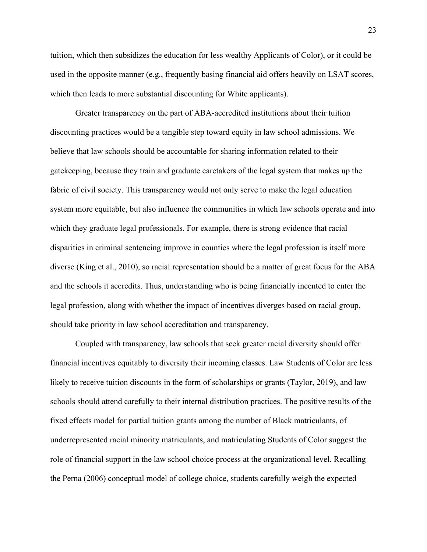tuition, which then subsidizes the education for less wealthy Applicants of Color), or it could be used in the opposite manner (e.g., frequently basing financial aid offers heavily on LSAT scores, which then leads to more substantial discounting for White applicants).

Greater transparency on the part of ABA-accredited institutions about their tuition discounting practices would be a tangible step toward equity in law school admissions. We believe that law schools should be accountable for sharing information related to their gatekeeping, because they train and graduate caretakers of the legal system that makes up the fabric of civil society. This transparency would not only serve to make the legal education system more equitable, but also influence the communities in which law schools operate and into which they graduate legal professionals. For example, there is strong evidence that racial disparities in criminal sentencing improve in counties where the legal profession is itself more diverse (King et al., 2010), so racial representation should be a matter of great focus for the ABA and the schools it accredits. Thus, understanding who is being financially incented to enter the legal profession, along with whether the impact of incentives diverges based on racial group, should take priority in law school accreditation and transparency.

Coupled with transparency, law schools that seek greater racial diversity should offer financial incentives equitably to diversity their incoming classes. Law Students of Color are less likely to receive tuition discounts in the form of scholarships or grants (Taylor, 2019), and law schools should attend carefully to their internal distribution practices. The positive results of the fixed effects model for partial tuition grants among the number of Black matriculants, of underrepresented racial minority matriculants, and matriculating Students of Color suggest the role of financial support in the law school choice process at the organizational level. Recalling the Perna (2006) conceptual model of college choice, students carefully weigh the expected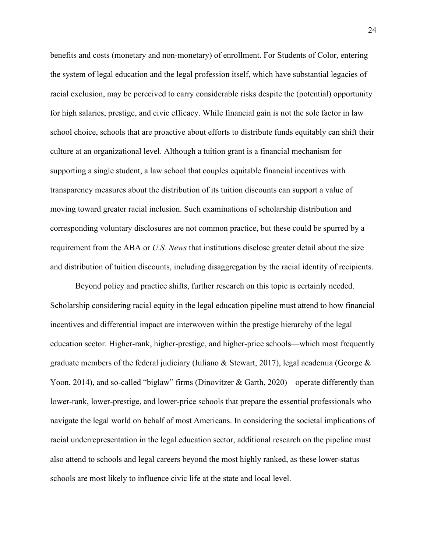benefits and costs (monetary and non-monetary) of enrollment. For Students of Color, entering the system of legal education and the legal profession itself, which have substantial legacies of racial exclusion, may be perceived to carry considerable risks despite the (potential) opportunity for high salaries, prestige, and civic efficacy. While financial gain is not the sole factor in law school choice, schools that are proactive about efforts to distribute funds equitably can shift their culture at an organizational level. Although a tuition grant is a financial mechanism for supporting a single student, a law school that couples equitable financial incentives with transparency measures about the distribution of its tuition discounts can support a value of moving toward greater racial inclusion. Such examinations of scholarship distribution and corresponding voluntary disclosures are not common practice, but these could be spurred by a requirement from the ABA or *U.S. News* that institutions disclose greater detail about the size and distribution of tuition discounts, including disaggregation by the racial identity of recipients.

Beyond policy and practice shifts, further research on this topic is certainly needed. Scholarship considering racial equity in the legal education pipeline must attend to how financial incentives and differential impact are interwoven within the prestige hierarchy of the legal education sector. Higher-rank, higher-prestige, and higher-price schools—which most frequently graduate members of the federal judiciary (Iuliano & Stewart, 2017), legal academia (George & Yoon, 2014), and so-called "biglaw" firms (Dinovitzer & Garth, 2020)—operate differently than lower-rank, lower-prestige, and lower-price schools that prepare the essential professionals who navigate the legal world on behalf of most Americans. In considering the societal implications of racial underrepresentation in the legal education sector, additional research on the pipeline must also attend to schools and legal careers beyond the most highly ranked, as these lower-status schools are most likely to influence civic life at the state and local level.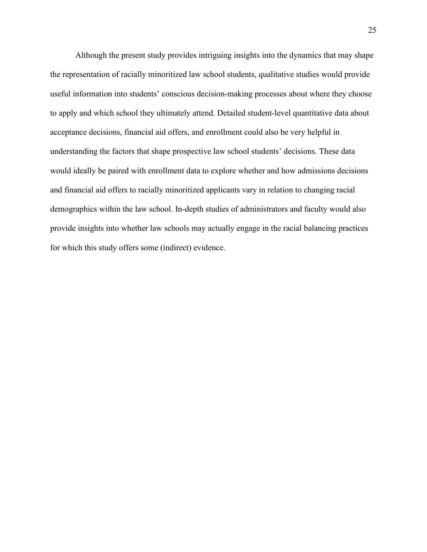Although the present study provides intriguing insights into the dynamics that may shape the representation of racially minoritized law school students, qualitative studies would provide useful information into students' conscious decision-making processes about where they choose to apply and which school they ultimately attend. Detailed student-level quantitative data about acceptance decisions, financial aid offers, and enrollment could also be very helpful in understanding the factors that shape prospective law school students' decisions. These data would ideally be paired with enrollment data to explore whether and how admissions decisions and financial aid offers to racially minoritized applicants vary in relation to changing racial demographics within the law school. In-depth studies of administrators and faculty would also provide insights into whether law schools may actually engage in the racial balancing practices for which this study offers some (indirect) evidence.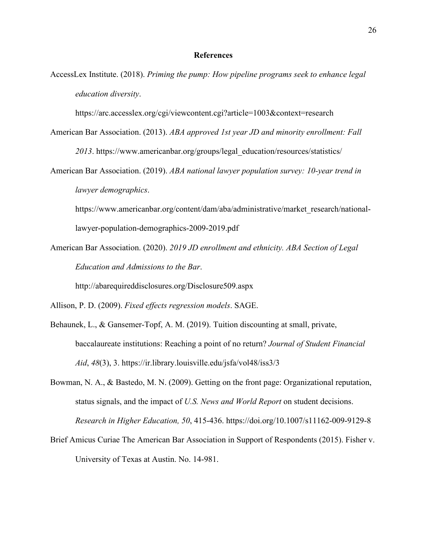#### **References**

AccessLex Institute. (2018). *Priming the pump: How pipeline programs seek to enhance legal education diversity*.

https://arc.accesslex.org/cgi/viewcontent.cgi?article=1003&context=research

- American Bar Association. (2013). *ABA approved 1st year JD and minority enrollment: Fall 2013*. https://www.americanbar.org/groups/legal\_education/resources/statistics/
- American Bar Association. (2019). *ABA national lawyer population survey: 10-year trend in lawyer demographics*.

https://www.americanbar.org/content/dam/aba/administrative/market\_research/nationallawyer-population-demographics-2009-2019.pdf

American Bar Association. (2020). *2019 JD enrollment and ethnicity. ABA Section of Legal Education and Admissions to the Bar*.

http://abarequireddisclosures.org/Disclosure509.aspx

Allison, P. D. (2009). *Fixed effects regression models*. SAGE.

- Behaunek, L., & Gansemer-Topf, A. M. (2019). Tuition discounting at small, private, baccalaureate institutions: Reaching a point of no return? *Journal of Student Financial Aid*, *48*(3), 3. https://ir.library.louisville.edu/jsfa/vol48/iss3/3
- Bowman, N. A., & Bastedo, M. N. (2009). Getting on the front page: Organizational reputation, status signals, and the impact of *U.S. News and World Report* on student decisions. *Research in Higher Education, 50*, 415-436. https://doi.org/10.1007/s11162-009-9129-8
- Brief Amicus Curiae The American Bar Association in Support of Respondents (2015). Fisher v. University of Texas at Austin. No. 14-981.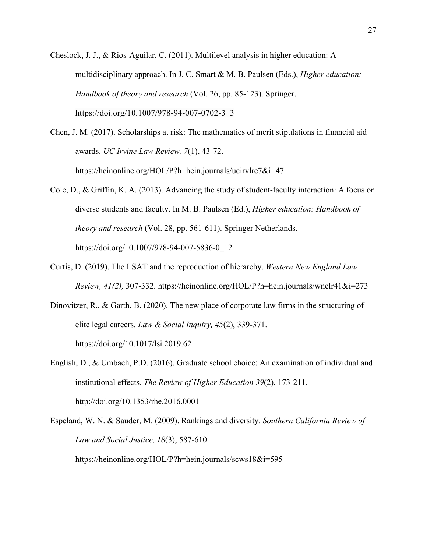Cheslock, J. J., & Rios-Aguilar, C. (2011). Multilevel analysis in higher education: A multidisciplinary approach. In J. C. Smart & M. B. Paulsen (Eds.), *Higher education: Handbook of theory and research* (Vol. 26, pp. 85-123). Springer. https://doi.org/10.1007/978-94-007-0702-3\_3

Chen, J. M. (2017). Scholarships at risk: The mathematics of merit stipulations in financial aid awards. *UC Irvine Law Review, 7*(1), 43-72. https://heinonline.org/HOL/P?h=hein.journals/ucirvlre7&i=47

- Cole, D., & Griffin, K. A. (2013). Advancing the study of student-faculty interaction: A focus on diverse students and faculty. In M. B. Paulsen (Ed.), *Higher education: Handbook of theory and research* (Vol. 28, pp. 561-611). Springer Netherlands. https://doi.org/10.1007/978-94-007-5836-0\_12
- Curtis, D. (2019). The LSAT and the reproduction of hierarchy. *Western New England Law Review, 41(2),* 307-332. https://heinonline.org/HOL/P?h=hein.journals/wnelr41&i=273
- Dinovitzer, R., & Garth, B. (2020). The new place of corporate law firms in the structuring of elite legal careers. *Law & Social Inquiry, 45*(2), 339-371. https://doi.org/10.1017/lsi.2019.62

English, D., & Umbach, P.D. (2016). Graduate school choice: An examination of individual and institutional effects. *The Review of Higher Education 39*(2), 173-211. http://doi.org/10.1353/rhe.2016.0001

Espeland, W. N. & Sauder, M. (2009). Rankings and diversity. *Southern California Review of Law and Social Justice, 18*(3), 587-610. https://heinonline.org/HOL/P?h=hein.journals/scws18&i=595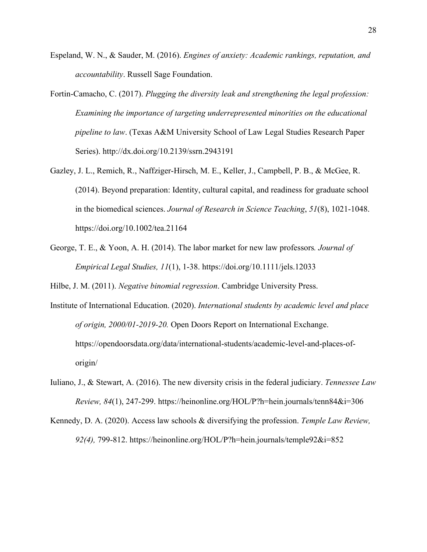- Espeland, W. N., & Sauder, M. (2016). *Engines of anxiety: Academic rankings, reputation, and accountability*. Russell Sage Foundation.
- Fortin-Camacho, C. (2017). *Plugging the diversity leak and strengthening the legal profession: Examining the importance of targeting underrepresented minorities on the educational pipeline to law*. (Texas A&M University School of Law Legal Studies Research Paper Series). http://dx.doi.org/10.2139/ssrn.2943191
- Gazley, J. L., Remich, R., Naffziger‐Hirsch, M. E., Keller, J., Campbell, P. B., & McGee, R. (2014). Beyond preparation: Identity, cultural capital, and readiness for graduate school in the biomedical sciences. *Journal of Research in Science Teaching*, *51*(8), 1021-1048. https://doi.org/10.1002/tea.21164
- George, T. E., & Yoon, A. H. (2014). The labor market for new law professors*. Journal of Empirical Legal Studies, 11*(1), 1-38. https://doi.org/10.1111/jels.12033

Hilbe, J. M. (2011). *Negative binomial regression*. Cambridge University Press.

- Institute of International Education. (2020). *International students by academic level and place of origin, 2000/01-2019-20.* Open Doors Report on International Exchange. https://opendoorsdata.org/data/international-students/academic-level-and-places-oforigin/
- Iuliano, J., & Stewart, A. (2016). The new diversity crisis in the federal judiciary. *Tennessee Law Review, 84*(1), 247-299. https://heinonline.org/HOL/P?h=hein.journals/tenn84&i=306
- Kennedy, D. A. (2020). Access law schools & diversifying the profession. *Temple Law Review, 92(4),* 799-812. https://heinonline.org/HOL/P?h=hein.journals/temple92&i=852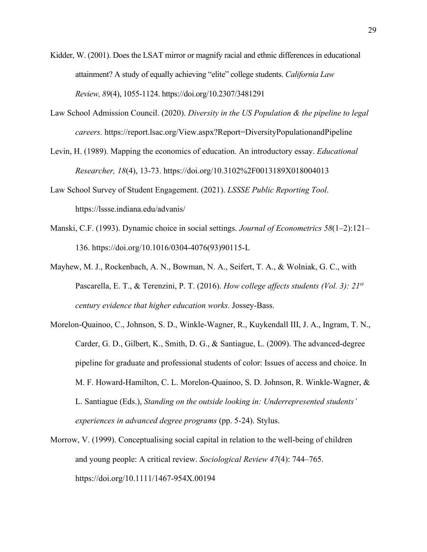- Kidder, W. (2001). Does the LSAT mirror or magnify racial and ethnic differences in educational attainment? A study of equally achieving "elite" college students. *California Law Review, 89*(4), 1055-1124. https://doi.org/10.2307/3481291
- Law School Admission Council. (2020). *Diversity in the US Population & the pipeline to legal careers.* https://report.lsac.org/View.aspx?Report=DiversityPopulationandPipeline
- Levin, H. (1989). Mapping the economics of education. An introductory essay. *Educational Researcher, 18*(4), 13-73. https://doi.org/10.3102%2F0013189X018004013
- Law School Survey of Student Engagement. (2021). *LSSSE Public Reporting Tool*. https://lssse.indiana.edu/advanis/
- Manski, C.F. (1993). Dynamic choice in social settings. *Journal of Econometrics 58*(1–2):121– 136. https://doi.org/10.1016/0304-4076(93)90115-L
- Mayhew, M. J., Rockenbach, A. N., Bowman, N. A., Seifert, T. A., & Wolniak, G. C., with Pascarella, E. T., & Terenzini, P. T. (2016). *How college affects students (Vol. 3): 21st century evidence that higher education works.* Jossey-Bass.
- Morelon-Quainoo, C., Johnson, S. D., Winkle-Wagner, R., Kuykendall III, J. A., Ingram, T. N., Carder, G. D., Gilbert, K., Smith, D. G., & Santiague, L. (2009). The advanced-degree pipeline for graduate and professional students of color: Issues of access and choice. In M. F. Howard-Hamilton, C. L. Morelon-Quainoo, S. D. Johnson, R. Winkle-Wagner, & L. Santiague (Eds.), *Standing on the outside looking in: Underrepresented students' experiences in advanced degree programs* (pp. 5-24). Stylus.
- Morrow, V. (1999). Conceptualising social capital in relation to the well-being of children and young people: A critical review. *Sociological Review 47*(4): 744–765. https://doi.org/10.1111/1467-954X.00194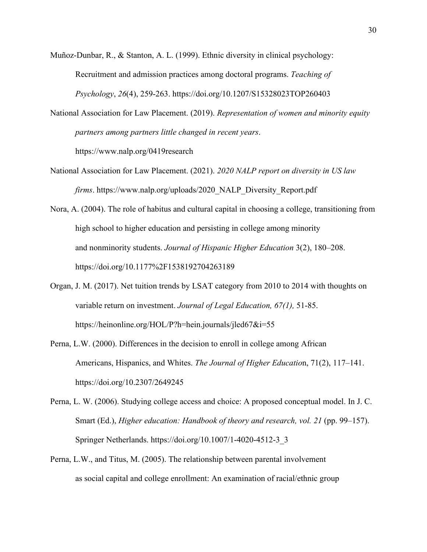Muñoz-Dunbar, R., & Stanton, A. L. (1999). Ethnic diversity in clinical psychology: Recruitment and admission practices among doctoral programs. *Teaching of Psychology*, *26*(4), 259-263. https://doi.org/10.1207/S15328023TOP260403

National Association for Law Placement. (2019). *Representation of women and minority equity partners among partners little changed in recent years*. https://www.nalp.org/0419research

- National Association for Law Placement. (2021). *2020 NALP report on diversity in US law firms*. https://www.nalp.org/uploads/2020\_NALP\_Diversity\_Report.pdf
- Nora, A. (2004). The role of habitus and cultural capital in choosing a college, transitioning from high school to higher education and persisting in college among minority and nonminority students. *Journal of Hispanic Higher Education* 3(2), 180–208. https://doi.org/10.1177%2F1538192704263189
- Organ, J. M. (2017). Net tuition trends by LSAT category from 2010 to 2014 with thoughts on variable return on investment. *Journal of Legal Education, 67(1),* 51-85. https://heinonline.org/HOL/P?h=hein.journals/jled67&i=55
- Perna, L.W. (2000). Differences in the decision to enroll in college among African Americans, Hispanics, and Whites. *The Journal of Higher Educatio*n, 71(2), 117–141. https://doi.org/10.2307/2649245
- Perna, L. W. (2006). Studying college access and choice: A proposed conceptual model. In J. C. Smart (Ed.), *Higher education: Handbook of theory and research, vol. 21* (pp. 99–157). Springer Netherlands. https://doi.org/10.1007/1-4020-4512-3\_3
- Perna, L.W., and Titus, M. (2005). The relationship between parental involvement as social capital and college enrollment: An examination of racial/ethnic group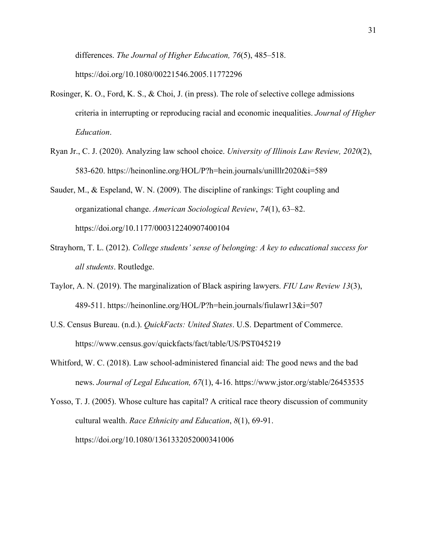differences. *The Journal of Higher Education, 76*(5), 485–518. https://doi.org/10.1080/00221546.2005.11772296

- Rosinger, K. O., Ford, K. S., & Choi, J. (in press). The role of selective college admissions criteria in interrupting or reproducing racial and economic inequalities. *Journal of Higher Education*.
- Ryan Jr., C. J. (2020). Analyzing law school choice. *University of Illinois Law Review, 2020*(2), 583-620. https://heinonline.org/HOL/P?h=hein.journals/unilllr2020&i=589

Sauder, M., & Espeland, W. N. (2009). The discipline of rankings: Tight coupling and organizational change. *American Sociological Review*, *74*(1), 63–82. https://doi.org/10.1177/000312240907400104

- Strayhorn, T. L. (2012). *College students' sense of belonging: A key to educational success for all students*. Routledge.
- Taylor, A. N. (2019). The marginalization of Black aspiring lawyers. *FIU Law Review 13*(3), 489-511. https://heinonline.org/HOL/P?h=hein.journals/fiulawr13&i=507
- U.S. Census Bureau. (n.d.). *QuickFacts: United States*. U.S. Department of Commerce. https://www.census.gov/quickfacts/fact/table/US/PST045219
- Whitford, W. C. (2018). Law school-administered financial aid: The good news and the bad news. *Journal of Legal Education, 67*(1), 4-16. https://www.jstor.org/stable/26453535

Yosso, T. J. (2005). Whose culture has capital? A critical race theory discussion of community cultural wealth. *Race Ethnicity and Education*, *8*(1), 69-91. https://doi.org/10.1080/1361332052000341006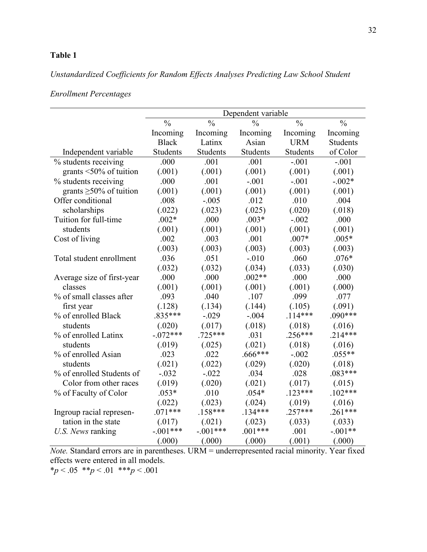# *Unstandardized Coefficients for Random Effects Analyses Predicting Law School Student*

*Enrollment Percentages*

|                               | Dependent variable |                 |               |                          |                 |
|-------------------------------|--------------------|-----------------|---------------|--------------------------|-----------------|
|                               | $\frac{0}{0}$      | $\frac{0}{0}$   | $\frac{0}{0}$ | $\overline{\frac{0}{0}}$ | $\frac{0}{0}$   |
|                               | Incoming           | Incoming        | Incoming      | Incoming                 | Incoming        |
|                               | <b>Black</b>       | Latinx          | Asian         | <b>URM</b>               | <b>Students</b> |
| Independent variable          | <b>Students</b>    | <b>Students</b> | Students      | Students                 | of Color        |
| % students receiving          | .000               | .001            | .001          | $-.001$                  | $-.001$         |
| grants $\leq 50\%$ of tuition | (.001)             | (.001)          | (.001)        | (.001)                   | (.001)          |
| % students receiving          | .000               | .001            | $-.001$       | $-.001$                  | $-.002*$        |
| grants $\geq 50\%$ of tuition | (.001)             | (.001)          | (.001)        | (.001)                   | (.001)          |
| Offer conditional             | .008               | $-.005$         | .012          | .010                     | .004            |
| scholarships                  | (.022)             | (.023)          | (.025)        | (.020)                   | (.018)          |
| Tuition for full-time         | $.002*$            | .000            | $.003*$       | $-.002$                  | .000            |
| students                      | (.001)             | (.001)          | (.001)        | (.001)                   | (.001)          |
| Cost of living                | .002               | .003            | .001          | $.007*$                  | $.005*$         |
|                               | (.003)             | (.003)          | (.003)        | (.003)                   | (.003)          |
| Total student enrollment      | .036               | .051            | $-.010$       | .060                     | $.076*$         |
|                               | (.032)             | (.032)          | (.034)        | (.033)                   | (.030)          |
| Average size of first-year    | .000               | .000            | $.002**$      | .000                     | .000            |
| classes                       | (.001)             | (.001)          | (.001)        | (.001)                   | (.000)          |
| % of small classes after      | .093               | .040            | .107          | .099                     | .077            |
| first year                    | (.128)             | (.134)          | (.144)        | (.105)                   | (.091)          |
| % of enrolled Black           | $.835***$          | $-.029$         | $-.004$       | $.114***$                | $.090***$       |
| students                      | (.020)             | (.017)          | (.018)        | (.018)                   | (.016)          |
| % of enrolled Latinx          | $-.072***$         | $.725***$       | .031          | $.256***$                | $.214***$       |
| students                      | (.019)             | (.025)          | (.021)        | (.018)                   | (.016)          |
| % of enrolled Asian           | .023               | .022            | $.666***$     | $-.002$                  | $.055**$        |
| students                      | (.021)             | (.022)          | (.029)        | (.020)                   | (.018)          |
| % of enrolled Students of     | $-.032$            | $-.022$         | .034          | .028                     | $.083***$       |
| Color from other races        | (.019)             | (.020)          | (.021)        | (.017)                   | (.015)          |
| % of Faculty of Color         | $.053*$            | .010            | $.054*$       | $.123***$                | $.102***$       |
|                               | (.022)             | (.023)          | (.024)        | (.019)                   | (.016)          |
| Ingroup racial represen-      | $.071***$          | $.158***$       | $.134***$     | $.257***$                | $.261***$       |
| tation in the state           | (.017)             | (.021)          | (.023)        | (.033)                   | (.033)          |
| U.S. News ranking             | $-.001***$         | $-.001***$      | $.001***$     | .001                     | $-.001**$       |
|                               | (.000)             | (.000)          | (.000)        | (.001)                   | (.000)          |

*Note.* Standard errors are in parentheses. URM = underrepresented racial minority. Year fixed effects were entered in all models.

 $*_{p} < .05$  \*\* $p < .01$  \*\*\* $p < .001$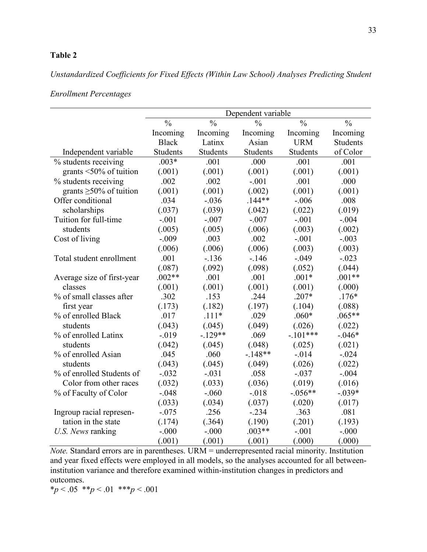# *Unstandardized Coefficients for Fixed Effects (Within Law School) Analyses Predicting Student*

## *Enrollment Percentages*

|                               | Dependent variable |               |               |               |                 |
|-------------------------------|--------------------|---------------|---------------|---------------|-----------------|
|                               | $\frac{0}{0}$      | $\frac{0}{0}$ | $\frac{0}{0}$ | $\frac{0}{0}$ | $\frac{0}{0}$   |
|                               | Incoming           | Incoming      | Incoming      | Incoming      | Incoming        |
|                               | <b>Black</b>       | Latinx        | Asian         | <b>URM</b>    | <b>Students</b> |
| Independent variable          | Students           | Students      | Students      | Students      | of Color        |
| % students receiving          | $.003*$            | .001          | .000          | .001          | .001            |
| grants $\leq 50\%$ of tuition | (.001)             | (.001)        | (.001)        | (.001)        | (.001)          |
| % students receiving          | .002               | .002          | $-.001$       | .001          | .000            |
| grants $\geq$ 50% of tuition  | (.001)             | (.001)        | (.002)        | (.001)        | (.001)          |
| Offer conditional             | .034               | $-.036$       | $.144**$      | $-.006$       | .008            |
| scholarships                  | (.037)             | (.039)        | (.042)        | (.022)        | (.019)          |
| Tuition for full-time         | $-.001$            | $-.007$       | $-.007$       | $-.001$       | $-.004$         |
| students                      | (.005)             | (.005)        | (.006)        | (.003)        | (.002)          |
| Cost of living                | $-.009$            | .003          | .002          | $-.001$       | $-.003$         |
|                               | (.006)             | (.006)        | (.006)        | (.003)        | (.003)          |
| Total student enrollment      | .001               | $-.136$       | $-.146$       | $-.049$       | $-.023$         |
|                               | (.087)             | (.092)        | (.098)        | (.052)        | (.044)          |
| Average size of first-year    | $.002**$           | .001          | .001          | $.001*$       | $.001**$        |
| classes                       | (.001)             | (.001)        | (.001)        | (.001)        | (.000)          |
| % of small classes after      | .302               | .153          | .244          | $.207*$       | $.176*$         |
| first year                    | (.173)             | (.182)        | (.197)        | (.104)        | (.088)          |
| % of enrolled Black           | .017               | $.111*$       | .029          | $.060*$       | $.065**$        |
| students                      | (.043)             | (.045)        | (.049)        | (.026)        | (.022)          |
| % of enrolled Latinx          | $-.019$            | $-129**$      | .069          | $-.101***$    | $-.046*$        |
| students                      | (.042)             | (.045)        | (.048)        | (.025)        | (.021)          |
| % of enrolled Asian           | .045               | .060          | $-148**$      | $-0.014$      | $-.024$         |
| students                      | (.043)             | (.045)        | (.049)        | (.026)        | (.022)          |
| % of enrolled Students of     | $-.032$            | $-.031$       | .058          | $-.037$       | $-.004$         |
| Color from other races        | (.032)             | (.033)        | (.036)        | (.019)        | (.016)          |
| % of Faculty of Color         | $-.048$            | $-.060$       | $-.018$       | $-.056**$     | $-.039*$        |
|                               | (.033)             | (.034)        | (.037)        | (.020)        | (.017)          |
| Ingroup racial represen-      | $-.075$            | .256          | $-.234$       | .363          | .081            |
| tation in the state           | (.174)             | (.364)        | (.190)        | (.201)        | (.193)          |
| U.S. News ranking             | $-.000$            | $-.000$       | $.003**$      | $-.001$       | $-.000$         |
|                               | (.001)             | (.001)        | (.001)        | (.000)        | (.000)          |

*Note.* Standard errors are in parentheses. URM = underrepresented racial minority. Institution and year fixed effects were employed in all models, so the analyses accounted for all betweeninstitution variance and therefore examined within-institution changes in predictors and outcomes.

\**p* < .05 \*\**p* < .01 \*\*\**p* < .001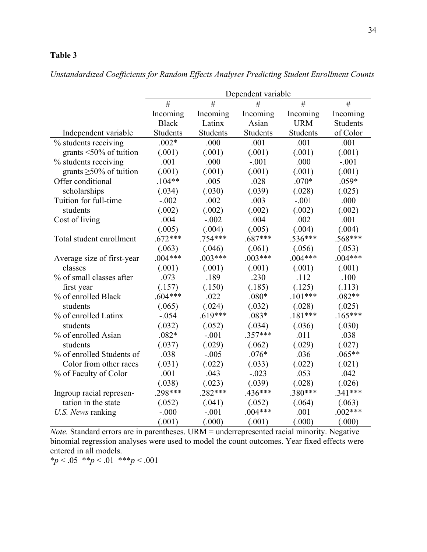|  | Unstandardized Coefficients for Random Effects Analyses Predicting Student Enrollment Counts |  |
|--|----------------------------------------------------------------------------------------------|--|
|--|----------------------------------------------------------------------------------------------|--|

|                               | Dependent variable |           |           |            |                 |
|-------------------------------|--------------------|-----------|-----------|------------|-----------------|
|                               | #                  | #         | #         | #          | #               |
|                               | Incoming           | Incoming  | Incoming  | Incoming   | Incoming        |
|                               | <b>Black</b>       | Latinx    | Asian     | <b>URM</b> | <b>Students</b> |
| Independent variable          | Students           | Students  | Students  | Students   | of Color        |
| % students receiving          | $.002*$            | .000      | .001      | .001       | .001            |
| grants $\leq 50\%$ of tuition | (.001)             | (.001)    | (.001)    | (.001)     | (.001)          |
| % students receiving          | .001               | .000      | $-.001$   | .000       | $-.001$         |
| grants $\geq$ 50% of tuition  | (.001)             | (.001)    | (.001)    | (.001)     | (.001)          |
| Offer conditional             | $.104**$           | .005      | .028      | $.070*$    | $.059*$         |
| scholarships                  | (.034)             | (.030)    | (.039)    | (.028)     | (.025)          |
| Tuition for full-time         | $-.002$            | .002      | .003      | $-.001$    | .000            |
| students                      | (.002)             | (.002)    | (.002)    | (.002)     | (.002)          |
| Cost of living                | .004               | $-.002$   | .004      | .002       | .001            |
|                               | (.005)             | (.004)    | (.005)    | (.004)     | (.004)          |
| Total student enrollment      | $.672***$          | $.754***$ | $.687***$ | $.536***$  | $.568***$       |
|                               | (.063)             | (.046)    | (.061)    | (.056)     | (.053)          |
| Average size of first-year    | $.004***$          | $.003***$ | $.003***$ | $.004***$  | $.004***$       |
| classes                       | (.001)             | (.001)    | (.001)    | (.001)     | (.001)          |
| % of small classes after      | .073               | .189      | .230      | .112       | .100            |
| first year                    | (.157)             | (.150)    | (.185)    | (.125)     | (.113)          |
| % of enrolled Black           | $.604***$          | .022      | $.080*$   | $.101***$  | $.082**$        |
| students                      | (.065)             | (.024)    | (.032)    | (.028)     | (.025)          |
| % of enrolled Latinx          | $-.054$            | $.619***$ | $.083*$   | $.181***$  | $.165***$       |
| students                      | (.032)             | (.052)    | (.034)    | (.036)     | (.030)          |
| % of enrolled Asian           | $.082*$            | $-.001$   | $.357***$ | .011       | .038            |
| students                      | (.037)             | (.029)    | (.062)    | (.029)     | (.027)          |
| % of enrolled Students of     | .038               | $-.005$   | $.076*$   | .036       | $.065**$        |
| Color from other races        | (.031)             | (.022)    | (.033)    | (.022)     | (.021)          |
| % of Faculty of Color         | .001               | .043      | $-.023$   | .053       | .042            |
|                               | (.038)             | (.023)    | (.039)    | (.028)     | (.026)          |
| Ingroup racial represen-      | $.298***$          | $.282***$ | $.436***$ | $.380***$  | $.341***$       |
| tation in the state           | (.052)             | (.041)    | (.052)    | (.064)     | (.063)          |
| U.S. News ranking             | $-.000$            | $-.001$   | $.004***$ | .001       | $.002***$       |
|                               | (.001)             | (.000)    | (.001)    | (.000)     | (.000)          |

*Note.* Standard errors are in parentheses. URM = underrepresented racial minority. Negative binomial regression analyses were used to model the count outcomes. Year fixed effects were entered in all models.

\**p* < .05 \*\**p* < .01 \*\*\**p* < .001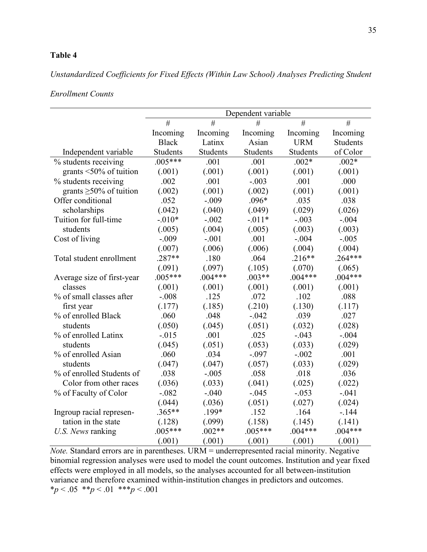# *Unstandardized Coefficients for Fixed Effects (Within Law School) Analyses Predicting Student*

### *Enrollment Counts*

|                               | Dependent variable |           |           |            |                 |
|-------------------------------|--------------------|-----------|-----------|------------|-----------------|
|                               | #                  | #         | #         | #          | #               |
|                               | Incoming           | Incoming  | Incoming  | Incoming   | Incoming        |
|                               | <b>Black</b>       | Latinx    | Asian     | <b>URM</b> | <b>Students</b> |
| Independent variable          | Students           | Students  | Students  | Students   | of Color        |
| % students receiving          | $.005***$          | .001      | .001      | $.002*$    | $.002*$         |
| grants $\leq 50\%$ of tuition | (.001)             | (.001)    | (.001)    | (.001)     | (.001)          |
| % students receiving          | .002               | .001      | $-.003$   | .001       | .000            |
| grants $\geq 50\%$ of tuition | (.002)             | (.001)    | (.002)    | (.001)     | (.001)          |
| Offer conditional             | .052               | $-.009$   | $.096*$   | .035       | .038            |
| scholarships                  | (.042)             | (.040)    | (.049)    | (.029)     | (.026)          |
| Tuition for full-time         | $-.010*$           | $-.002$   | $-.011*$  | $-.003$    | $-.004$         |
| students                      | (.005)             | (.004)    | (.005)    | (.003)     | (.003)          |
| Cost of living                | $-.009$            | $-.001$   | .001      | $-.004$    | $-.005$         |
|                               | (.007)             | (.006)    | (.006)    | (.004)     | (.004)          |
| Total student enrollment      | $.287**$           | .180      | .064      | $.216**$   | $.264***$       |
|                               | (.091)             | (.097)    | (.105)    | (.070)     | (.065)          |
| Average size of first-year    | $.005***$          | $.004***$ | $.003**$  | $.004***$  | $.004***$       |
| classes                       | (.001)             | (.001)    | (.001)    | (.001)     | (.001)          |
| % of small classes after      | $-.008$            | .125      | .072      | .102       | .088            |
| first year                    | (.177)             | (.185)    | (.210)    | (.130)     | (.117)          |
| % of enrolled Black           | .060               | .048      | $-.042$   | .039       | .027            |
| students                      | (.050)             | (.045)    | (.051)    | (.032)     | (.028)          |
| % of enrolled Latinx          | $-0.015$           | .001      | .025      | $-.043$    | $-.004$         |
| students                      | (.045)             | (.051)    | (.053)    | (.033)     | (.029)          |
| % of enrolled Asian           | .060               | .034      | $-.097$   | $-.002$    | .001            |
| students                      | (.047)             | (.047)    | (.057)    | (.033)     | (.029)          |
| % of enrolled Students of     | .038               | $-.005$   | .058      | .018       | .036            |
| Color from other races        | (.036)             | (.033)    | (.041)    | (.025)     | (.022)          |
| % of Faculty of Color         | $-.082$            | $-.040$   | $-.045$   | $-.053$    | $-.041$         |
|                               | (.044)             | (.036)    | (.051)    | (.027)     | (.024)          |
| Ingroup racial represen-      | $.365**$           | .199*     | .152      | .164       | $-144$          |
| tation in the state           | (.128)             | (.099)    | (.158)    | (.145)     | (.141)          |
| U.S. News ranking             | $.005***$          | $.002**$  | $.005***$ | $.004***$  | $.004***$       |
|                               | (.001)             | (.001)    | (.001)    | (.001)     | (.001)          |

*Note.* Standard errors are in parentheses. URM = underrepresented racial minority. Negative binomial regression analyses were used to model the count outcomes. Institution and year fixed effects were employed in all models, so the analyses accounted for all between-institution variance and therefore examined within-institution changes in predictors and outcomes. \**p* < .05 \*\**p* < .01 \*\*\**p* < .001